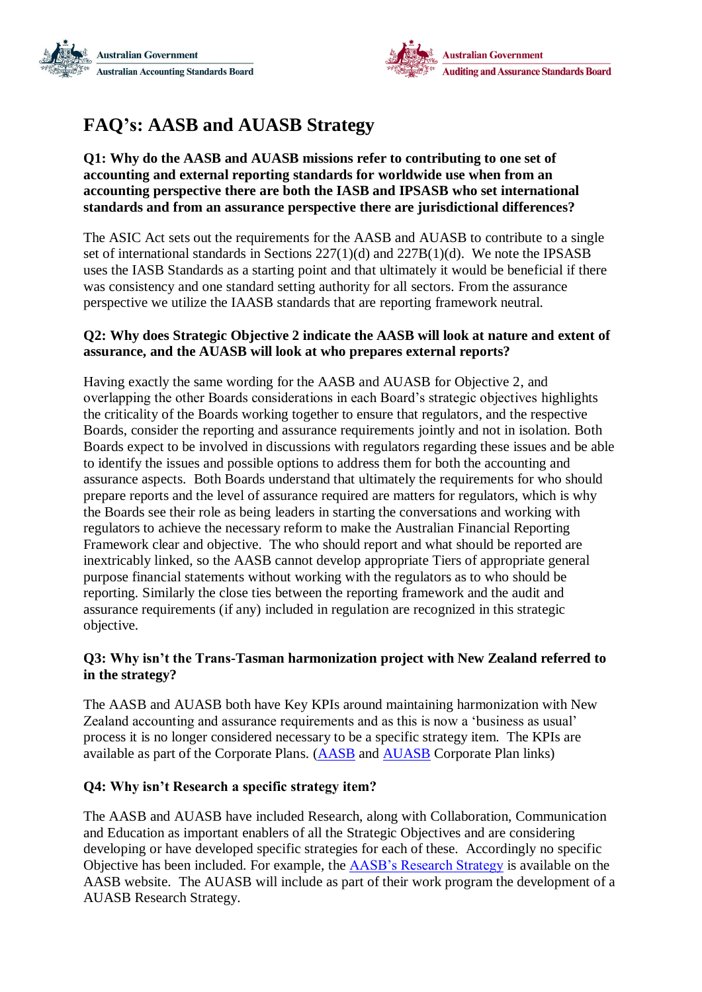



# **FAQ's: AASB and AUASB Strategy**

#### **Q1: Why do the AASB and AUASB missions refer to contributing to one set of accounting and external reporting standards for worldwide use when from an accounting perspective there are both the IASB and IPSASB who set international standards and from an assurance perspective there are jurisdictional differences?**

The ASIC Act sets out the requirements for the AASB and AUASB to contribute to a single set of international standards in Sections 227(1)(d) and 227B(1)(d). We note the IPSASB uses the IASB Standards as a starting point and that ultimately it would be beneficial if there was consistency and one standard setting authority for all sectors. From the assurance perspective we utilize the IAASB standards that are reporting framework neutral.

### **Q2: Why does Strategic Objective 2 indicate the AASB will look at nature and extent of assurance, and the AUASB will look at who prepares external reports?**

Having exactly the same wording for the AASB and AUASB for Objective 2, and overlapping the other Boards considerations in each Board's strategic objectives highlights the criticality of the Boards working together to ensure that regulators, and the respective Boards, consider the reporting and assurance requirements jointly and not in isolation. Both Boards expect to be involved in discussions with regulators regarding these issues and be able to identify the issues and possible options to address them for both the accounting and assurance aspects. Both Boards understand that ultimately the requirements for who should prepare reports and the level of assurance required are matters for regulators, which is why the Boards see their role as being leaders in starting the conversations and working with regulators to achieve the necessary reform to make the Australian Financial Reporting Framework clear and objective. The who should report and what should be reported are inextricably linked, so the AASB cannot develop appropriate Tiers of appropriate general purpose financial statements without working with the regulators as to who should be reporting. Similarly the close ties between the reporting framework and the audit and assurance requirements (if any) included in regulation are recognized in this strategic objective.

# **Q3: Why isn't the Trans-Tasman harmonization project with New Zealand referred to in the strategy?**

The AASB and AUASB both have Key KPIs around maintaining harmonization with New Zealand accounting and assurance requirements and as this is now a 'business as usual' process it is no longer considered necessary to be a specific strategy item. The KPIs are available as part of the Corporate Plans. [\(AASB](http://www.aasb.gov.au/admin/file/content102/c3/AASB_Corporate_Plan_2016-2017.pdf) and [AUASB](http://www.auasb.gov.au/admin/file/content2/c7/AUASB%20Corporate_Plan_2016-2017v.f.pdf) Corporate Plan links)

# **Q4: Why isn't Research a specific strategy item?**

The AASB and AUASB have included Research, along with Collaboration, Communication and Education as important enablers of all the Strategic Objectives and are considering developing or have developed specific strategies for each of these. Accordingly no specific Objective has been included. For example, the [AASB's Research Strategy](http://www.aasb.gov.au/admin/file/content102/c3/AASB_Research_Strategy_2017-2019_1501813379883.pdf) is available on the AASB website. The AUASB will include as part of their work program the development of a AUASB Research Strategy.